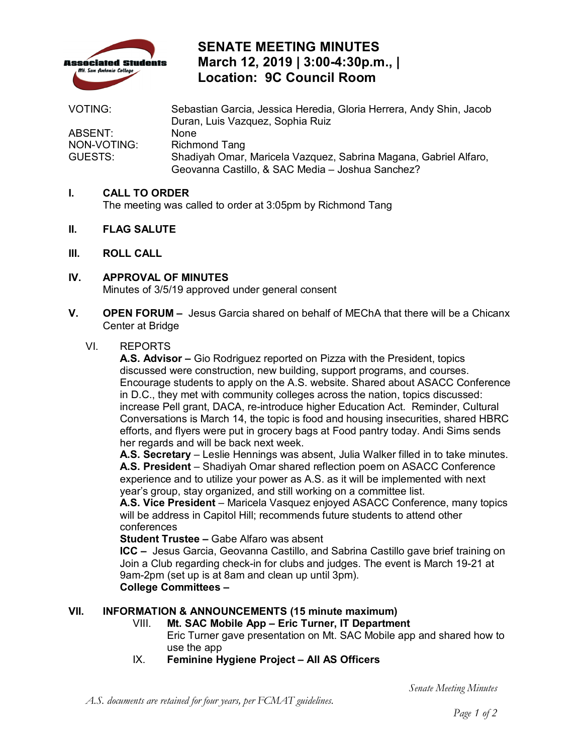

## **SENATE MEETING MINUTES March 12, 2019 | 3:00-4:30p.m., | Location: 9C Council Room**

| VOTING:     | Sebastian Garcia, Jessica Heredia, Gloria Herrera, Andy Shin, Jacob |
|-------------|---------------------------------------------------------------------|
|             | Duran, Luis Vazquez, Sophia Ruiz                                    |
| ABSENT:     | None                                                                |
| NON-VOTING: | Richmond Tang                                                       |
| GUESTS:     | Shadiyah Omar, Maricela Vazquez, Sabrina Magana, Gabriel Alfaro,    |
|             | Geovanna Castillo, & SAC Media - Joshua Sanchez?                    |

### **I. CALL TO ORDER**

The meeting was called to order at 3:05pm by Richmond Tang

- **II. FLAG SALUTE**
- **III. ROLL CALL**
- **IV. APPROVAL OF MINUTES**  Minutes of 3/5/19 approved under general consent
- **V. OPEN FORUM** Jesus Garcia shared on behalf of MEChA that there will be a Chicanx Center at Bridge

#### VI. REPORTS

 **A.S. Advisor –** Gio Rodriguez reported on Pizza with the President, topics in D.C., they met with community colleges across the nation, topics discussed: efforts, and flyers were put in grocery bags at Food pantry today. Andi Sims sends discussed were construction, new building, support programs, and courses. Encourage students to apply on the A.S. website. Shared about ASACC Conference increase Pell grant, DACA, re-introduce higher Education Act. Reminder, Cultural Conversations is March 14, the topic is food and housing insecurities, shared HBRC her regards and will be back next week.

**A.S. Secretary** – Leslie Hennings was absent, Julia Walker filled in to take minutes. **A.S. President** – Shadiyah Omar shared reflection poem on ASACC Conference

 experience and to utilize your power as A.S. as it will be implemented with next year's group, stay organized, and still working on a committee list.

**A.S. Vice President** – Maricela Vasquez enjoyed ASACC Conference, many topics will be address in Capitol Hill; recommends future students to attend other conferences

#### **Student Trustee –** Gabe Alfaro was absent

 **ICC –** Jesus Garcia, Geovanna Castillo, and Sabrina Castillo gave brief training on **College Committees -**Join a Club regarding check-in for clubs and judges. The event is March 19-21 at 9am-2pm (set up is at 8am and clean up until 3pm).

#### **VII. INFORMATION & ANNOUNCEMENTS (15 minute maximum)**

- VIII. **Mt. SAC Mobile App Eric Turner, IT Department**  Eric Turner gave presentation on Mt. SAC Mobile app and shared how to use the app
- IX. **Feminine Hygiene Project All AS Officers**

*A.S. documents are retained for four years, per FCMAT guidelines.* 

*Senate Meeting Minutes*